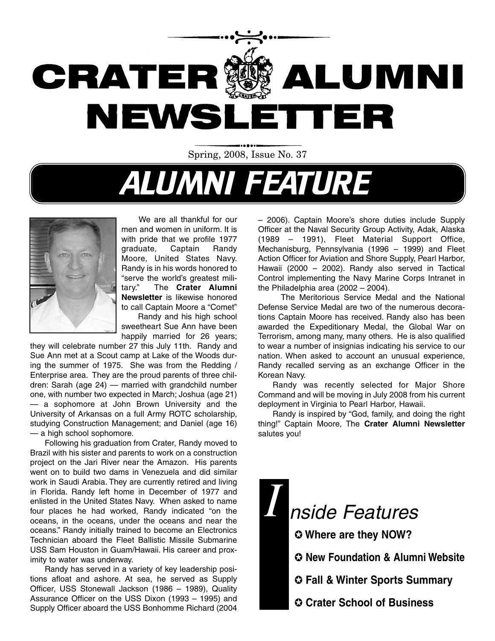

Spring, 2008, Issue No. 37

# ALUMNI FEATURE



We are all thankful for our men and women in uniform. It is with pride that we profile 1977 graduate, Captain Randy Moore, United States Navy. Randy is in his words honored to "serve the world's greatest military." The **Crater Alumni Newsletter** is likewise honored to call Captain Moore a "Comet" Randy and his high school

sweetheart Sue Ann have been happily married for 26 years;

they will celebrate number 27 this July 11th. Randy and Sue Ann met at a Scout camp at Lake of the Woods during the summer of 1975. She was from the Redding / Enterprise area. They are the proud parents of three children: Sarah (age 24) — married with grandchild number one, with number two expected in March; Joshua (age 21) — a sophomore at John Brown University and the University of Arkansas on a full Army ROTC scholarship, studying Construction Management; and Daniel (age 16) — a high school sophomore.

Following his graduation from Crater, Randy moved to Brazil with his sister and parents to work on a construction project on the Jari River near the Amazon. His parents went on to build two dams in Venezuela and did similar work in Saudi Arabia. They are currently retired and living in Florida. Randy left home in December of 1977 and enlisted in the United States Navy. When asked to name four places he had worked, Randy indicated "on the oceans, in the oceans, under the oceans and near the oceans." Randy initially trained to become an Electronics Technician aboard the Fleet Ballistic Missile Submarine USS Sam Houston in Guam/Hawaii. His career and proximity to water was underway.

Randy has served in a variety of key leadership positions afloat and ashore. At sea, he served as Supply Officer, USS Stonewall Jackson (1986 – 1989), Quality Assurance Officer on the USS Dixon (1993 – 1995) and Supply Officer aboard the USS Bonhomme Richard (2004

– 2006). Captain Moore's shore duties include Supply Officer at the Naval Security Group Activity, Adak, Alaska (1989 – 1991), Fleet Material Support Office, Mechanisburg, Pennsylvania (1996 – 1999) and Fleet Action Officer for Aviation and Shore Supply, Pearl Harbor, Hawaii (2000 – 2002). Randy also served in Tactical Control implementing the Navy Marine Corps Intranet in the Philadelphia area (2002 – 2004).

The Meritorious Service Medal and the National Defense Service Medal are two of the numerous decorations Captain Moore has received. Randy also has been awarded the Expeditionary Medal, the Global War on Terrorism, among many, many others. He is also qualified to wear a number of insignias indicating his service to our nation. When asked to account an unusual experience, Randy recalled serving as an exchange Officer in the Korean Navy.

Randy was recently selected for Major Shore Command and will be moving in July 2008 from his current deployment in Virginia to Pearl Harbor, Hawaii.

Randy is inspired by "God, family, and doing the right thing!" Captain Moore, The **Crater Alumni Newsletter** salutes you!

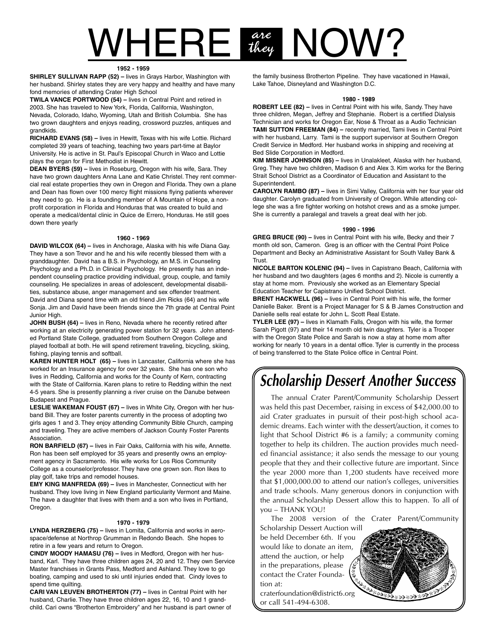## $NHERE$  are  $NOW$ ? are<br>they

#### **1952 - 1959**

**SHIRLEY SULLIVAN RAPP (52) –** lives in Grays Harbor, Washington with her husband. Shirley states they are very happy and healthy and have many fond memories of attending Crater High School

**TWILA VANCE PORTWOOD (54) –** lives in Central Point and retired in 2003. She has traveled to New York, Florida, California, Washington, Nevada, Colorado, Idaho, Wyoming, Utah and British Columbia. She has two grown daughters and enjoys reading, crossword puzzles, antiques and grandkids.

**RICHARD EVANS (58) –** lives in Hewitt, Texas with his wife Lottie. Richard completed 39 years of teaching, teaching two years part-time at Baylor University. He is active in St. Paul's Episcopal Church in Waco and Lottie plays the organ for First Methodist in Hewitt.

**DEAN BYERS (59) –** lives in Roseburg, Oregon with his wife, Sara. They have two grown daughters Anna Lane and Katie Christel. They rent commercial real estate properties they own in Oregon and Florida. They own a plane and Dean has flown over 100 mercy flight missions flying patients wherever they need to go. He is a founding member of A Mountain of Hope, a nonprofit corporation in Florida and Honduras that was created to build and operate a medical/dental clinic in Quice de Errero, Honduras. He still goes down there yearly

#### **1960 - 1969**

**DAVID WILCOX (64) –** lives in Anchorage, Alaska with his wife Diana Gay. They have a son Trevor and he and his wife recently blessed them with a granddaughter. David has a B.S. in Psychology, an M.S. in Counseling Psychology and a Ph.D. in Clinical Psychology. He presently has an independent counseling practice providing individual, group, couple, and family counseling. He specializes in areas of adolescent, developmental disabilities, substance abuse, anger management and sex offender treatment. David and Diana spend time with an old friend Jim Ricks (64) and his wife Sonja. Jim and David have been friends since the 7th grade at Central Point Junior High.

**JOHN BUSH (64) –** lives in Reno, Nevada where he recently retired after working at an electricity generating power station for 32 years. John attended Portland State College, graduated from Southern Oregon College and played football at both. He will spend retirement traveling, bicycling, skiing, fishing, playing tennis and softball.

**KAREN HUNTER HOLT (65) –** lives in Lancaster, California where she has worked for an Insurance agency for over 32 years. She has one son who lives in Redding, California and works for the County of Kern, contracting with the State of California. Karen plans to retire to Redding within the next 4-5 years. She is presently planning a river cruise on the Danube between Budapest and Prague.

**LESLIE WAKEMAN FOUST (67) –** lives in White City, Oregon with her husband Bill. They are foster parents currently in the process of adopting two girls ages 1 and 3. They enjoy attending Community Bible Church, camping and traveling. They are active members of Jackson County Foster Parents Association.

**RON BARFIELD (67) –** lives in Fair Oaks, California with his wife, Annette. Ron has been self employed for 35 years and presently owns an employment agency in Sacramento. His wife works for Los Rios Community College as a counselor/professor. They have one grown son. Ron likes to play golf, take trips and remodel houses.

**EMY KING MANFREDA (69) –** lives in Manchester, Connecticut with her husband. They love living in New England particularity Vermont and Maine. The have a daughter that lives with them and a son who lives in Portland, Oregon.

#### **1970 - 1979**

**LYNDA HERZBERG (75) –** lives in Lomita, California and works in aerospace/defense at Northrop Grumman in Redondo Beach. She hopes to retire in a few years and return to Oregon.

**CINDY MOODY HAMASU (76) –** lives in Medford, Oregon with her husband, Karl. They have three children ages 24, 20 and 12. They own Service Master franchises in Grants Pass, Medford and Ashland. They love to go boating, camping and used to ski until injuries ended that. Cindy loves to spend time quilting.

**CARI VAN LEUVEN BROTHERTON (77) –** lives in Central Point with her husband, Charlie. They have three children ages 22, 16, 10 and 1 grandchild. Cari owns "Brotherton Embroidery" and her husband is part owner of the family business Brotherton Pipeline. They have vacationed in Hawaii, Lake Tahoe, Disneyland and Washington D.C.

#### **1980 - 1989**

**ROBERT LEE (82) –** lives in Central Point with his wife, Sandy. They have three children, Megan, Jeffrey and Stephanie. Robert is a certified Dialysis Technician and works for Oregon Ear, Nose & Throat as a Audio Technician **TAMI SUTTON FREEMAN (84) –** recently married, Tami lives in Central Point with her husband, Larry. Tami is the support supervisor at Southern Oregon Credit Service in Medford. Her husband works in shipping and receiving at Bed Slide Corporation in Medford.

**KIM MISNER JOHNSON (85) –** lives in Unalakleet, Alaska with her husband, Greg. They have two children, Madison 6 and Alex 3. Kim works for the Bering Strait School District as a Coordinator of Education and Assistant to the Superintendent.

**CAROLYN RAMBO (87) –** lives in Simi Valley, California with her four year old daughter. Carolyn graduated from University of Oregon. While attending college she was a fire fighter working on hotshot crews and as a smoke jumper. She is currently a paralegal and travels a great deal with her job.

#### **1990 - 1996**

**GREG BRUCE (90) –** lives in Central Point with his wife, Becky and their 7 month old son, Cameron. Greg is an officer with the Central Point Police Department and Becky an Administrative Assistant for South Valley Bank & Trust.

**NICOLE BARTON KOLENIC (94) –** lives in Capistrano Beach, California with her husband and two daughters (ages 6 months and 2). Nicole is currently a stay at home mom. Previously she worked as an Elementary Special Education Teacher for Capistrano Unified School District.

**BRENT HACKWELL (96) –** lives in Central Point with his wife, the former Danielle Baker. Brent is a Project Manager for S & B James Construction and Danielle sells real estate for John L. Scott Real Estate.

**TYLER LEE (97) –** lives in Klamath Falls, Oregon with his wife, the former Sarah Pigott (97) and their 14 month old twin daughters. Tyler is a Trooper with the Oregon State Police and Sarah is now a stay at home mom after working for nearly 10 years in a dental office. Tyler is currently in the process of being transferred to the State Police office in Central Point.

### **Scholarship Dessert Another Success**

The annual Crater Parent/Community Scholarship Dessert was held this past December, raising in excess of \$42,000.00 to aid Crater graduates in pursuit of their post-high school academic dreams. Each winter with the dessert/auction, it comes to light that School District #6 is a family; a community coming together to help its children. The auction provides much needed financial assistance; it also sends the message to our young people that they and their collective future are important. Since the year 2000 more than 1,200 students have received more that \$1,000,000.00 to attend our nation's colleges, universities and trade schools. Many generous donors in conjunction with the annual Scholarship Dessert allow this to happen. To all of you – THANK YOU!

The 2008 version of the Crater Parent/Community Scholarship Dessert Auction will be held December 6th. If you would like to donate an item, attend the auction, or help in the preparations, please contact the Crater Foundation at:

craterfoundation@district6.org or call 541-494-6308.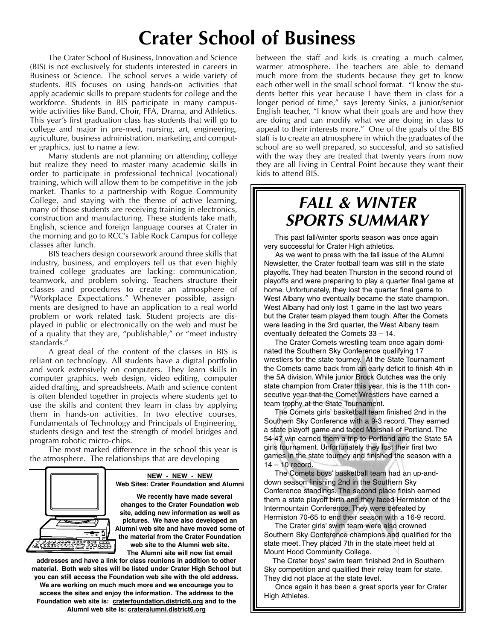# **Crater School of Business**

The Crater School of Business, Innovation and Science (BIS) is not exclusively for students interested in careers in Business or Science. The school serves a wide variety of students. BIS focuses on using hands-on activities that apply academic skills to prepare students for college and the workforce. Students in BIS participate in many campuswide activities like Band, Choir, FFA, Drama, and Athletics. This year's first graduation class has students that will go to college and major in pre-med, nursing, art, engineering, agriculture, business administration, marketing and computer graphics, just to name a few.

Many students are not planning on attending college but realize they need to master many academic skills in order to participate in professional technical (vocational) training, which will allow them to be competitive in the job market. Thanks to a partnership with Rogue Community College, and staying with the theme of active learning, many of those students are receiving training in electronics, construction and manufacturing. These students take math, English, science and foreign language courses at Crater in the morning and go to RCC's Table Rock Campus for college classes after lunch.

BIS teachers design coursework around three skills that industry, business, and employers tell us that even highly trained college graduates are lacking: communication, teamwork, and problem solving. Teachers structure their classes and procedures to create an atmosphere of "Workplace Expectations." Whenever possible, assignments are designed to have an application to a real world problem or work related task. Student projects are displayed in public or electronically on the web and must be of a quality that they are, "publishable," or "meet industry standards."

A great deal of the content of the classes in BIS is reliant on technology. All students have a digital portfolio and work extensively on computers. They learn skills in computer graphics, web design, video editing, computer aided drafting, and spreadsheets. Math and science content is often blended together in projects where students get to use the skills and content they learn in class by applying them in hands-on activities. In two elective courses, Fundamentals of Technology and Principals of Engineering, students design and test the strength of model bridges and program robotic micro-chips.

The most marked difference in the school this year is the atmosphere. The relationships that are developing



**NEW - NEW - NEW Web Sites: Crater Foundation and Alumni**

**We recently have made several changes to the Crater Foundation web site, adding new information as well as pictures. We have also developed an Alumni web site and have moved some of the material from the Crater Foundation web site to the Alumni web site. The Alumni site will now list email**

**addresses and have a link for class reunions in addition to other material. Both web sites will be listed under Crater High School but you can still access the Foundation web site with the old address. We are working on much much more and we encourage you to**

**access the sites and enjoy the information. The address to the Foundation web site is: craterfoundation.district6.org and to the Alumni web site is: crateralumni.district6.org**

between the staff and kids is creating a much calmer, warmer atmosphere. The teachers are able to demand much more from the students because they get to know each other well in the small school format. "I know the students better this year because I have them in class for a longer period of time," says Jeremy Sinks, a junior/senior English teacher, "I know what their goals are and how they are doing and can modify what we are doing in class to appeal to their interests more." One of the goals of the BIS staff is to create an atmosphere in which the graduates of the school are so well prepared, so successful, and so satisfied with the way they are treated that twenty years from now they are all living in Central Point because they want their kids to attend BIS.

### **FALL & WINTER SPORTS SUMMARY**

This past fall/winter sports season was once again very successful for Crater High athletics.

As we went to press with the fall issue of the Alumni Newsletter, the Crater football team was still in the state playoffs. They had beaten Thurston in the second round of playoffs and were preparing to play a quarter final game at home. Unfortunately, they lost the quarter final game to West Albany who eventually became the state champion. West Albany had only lost 1 game in the last two years but the Crater team played them tough. After the Comets were leading in the 3rd quarter, the West Albany team eventually defeated the Comets 33 – 14.

The Crater Comets wrestling team once again dominated the Southern Sky Conference qualifying 17 wrestlers for the state tourney. At the State Tournament the Comets came back from an early deficit to finish 4th in the 5A division. While junior Brock Gutches was the only state champion from Crater this year, this is the 11th consecutive year that the Comet Wrestlers have earned a team trophy at the State Tournament.

The Comets girls' basketball team finished 2nd in the Southern Sky Conference with a 9-3 record. They earned a state playoff game and faced Marshall of Portland. The 54-47 win earned them a trip to Portland and the State 5A girls tournament. Unfortunately they lost their first two games in the state tourney and finished the season with a 14 – 10 record.

The Comets boys' basketball team had an up-anddown season finishing 2nd in the Southern Sky Conference standings. The second place finish earned them a state playoff birth and they faced Hermiston of the Intermountain Conference. They were defeated by Hermiston 70-65 to end their season with a 16-9 record.

The Crater girls' swim team were also crowned Southern Sky Conference champions and qualified for the state meet. They placed 7th in the state meet held at Mount Hood Community College.

The Crater boys' swim team finished 2nd in Southern Sky competition and qualified their relay team for state. They did not place at the state level.

Once again it has been a great sports year for Crater High Athletes.